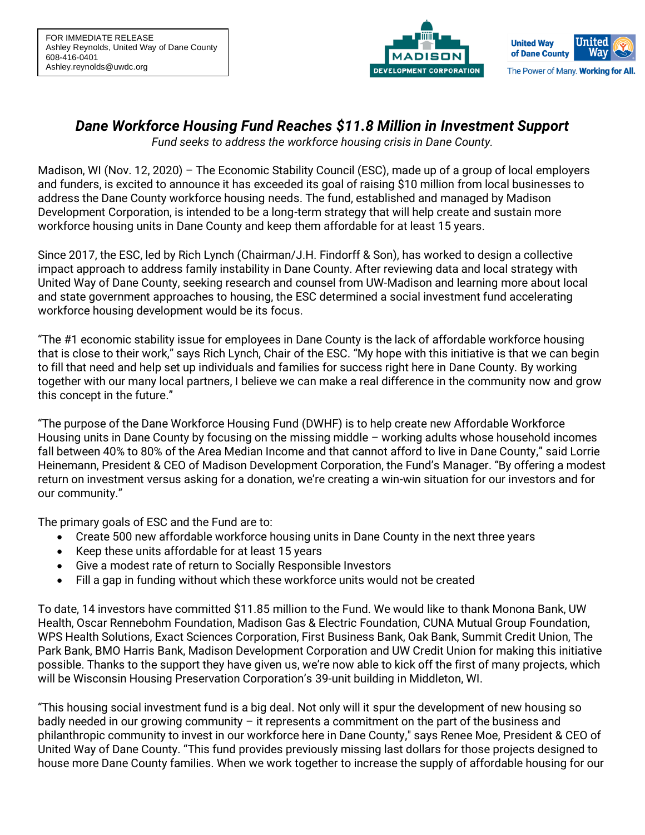



# *Dane Workforce Housing Fund Reaches \$11.8 Million in Investment Support*

*Fund seeks to address the workforce housing crisis in Dane County.*

Madison, WI (Nov. 12, 2020) – The Economic Stability Council (ESC), made up of a group of local employers and funders, is excited to announce it has exceeded its goal of raising \$10 million from local businesses to address the Dane County workforce housing needs. The fund, established and managed by Madison Development Corporation, is intended to be a long-term strategy that will help create and sustain more workforce housing units in Dane County and keep them affordable for at least 15 years.

Since 2017, the ESC, led by Rich Lynch (Chairman/J.H. Findorff & Son), has worked to design a collective impact approach to address family instability in Dane County. After reviewing data and local strategy with United Way of Dane County, seeking research and counsel from UW-Madison and learning more about local and state government approaches to housing, the ESC determined a social investment fund accelerating workforce housing development would be its focus.

"The #1 economic stability issue for employees in Dane County is the lack of affordable workforce housing that is close to their work," says Rich Lynch, Chair of the ESC. "My hope with this initiative is that we can begin to fill that need and help set up individuals and families for success right here in Dane County. By working together with our many local partners, I believe we can make a real difference in the community now and grow this concept in the future."

"The purpose of the Dane Workforce Housing Fund (DWHF) is to help create new Affordable Workforce Housing units in Dane County by focusing on the missing middle – working adults whose household incomes fall between 40% to 80% of the Area Median Income and that cannot afford to live in Dane County," said Lorrie Heinemann, President & CEO of Madison Development Corporation, the Fund's Manager. "By offering a modest return on investment versus asking for a donation, we're creating a win-win situation for our investors and for our community."

The primary goals of ESC and the Fund are to:

- Create 500 new affordable workforce housing units in Dane County in the next three years
- Keep these units affordable for at least 15 years
- Give a modest rate of return to Socially Responsible Investors
- Fill a gap in funding without which these workforce units would not be created

To date, 14 investors have committed \$11.85 million to the Fund. We would like to thank Monona Bank, UW Health, Oscar Rennebohm Foundation, Madison Gas & Electric Foundation, CUNA Mutual Group Foundation, WPS Health Solutions, Exact Sciences Corporation, First Business Bank, Oak Bank, Summit Credit Union, The Park Bank, BMO Harris Bank, Madison Development Corporation and UW Credit Union for making this initiative possible. Thanks to the support they have given us, we're now able to kick off the first of many projects, which will be Wisconsin Housing Preservation Corporation's 39-unit building in Middleton, WI.

"This housing social investment fund is a big deal. Not only will it spur the development of new housing so badly needed in our growing community – it represents a commitment on the part of the business and philanthropic community to invest in our workforce here in Dane County," says Renee Moe, President & CEO of United Way of Dane County. "This fund provides previously missing last dollars for those projects designed to house more Dane County families. When we work together to increase the supply of affordable housing for our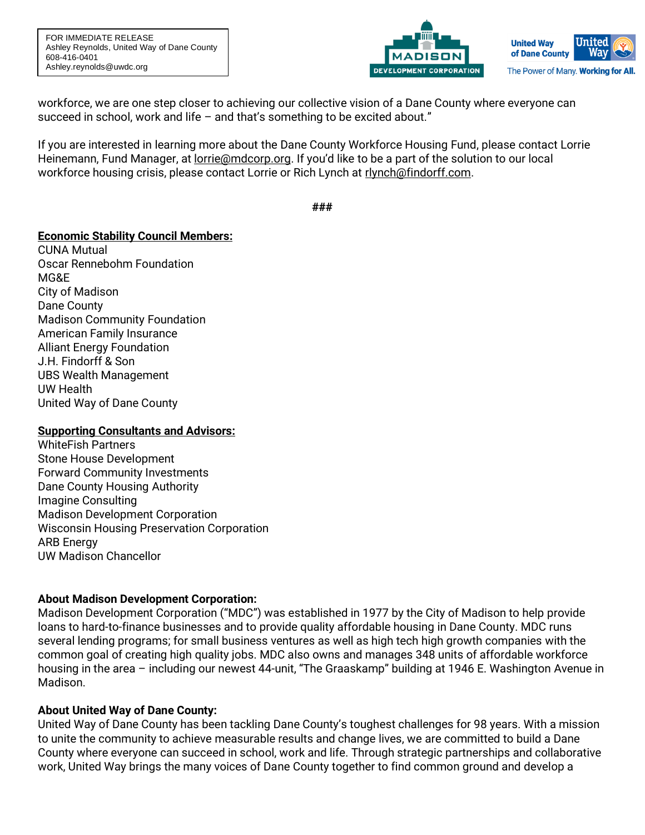FOR IMMEDIATE RELEASE Ashley Reynolds, United Way of Dane County 608-416-0401 Ashley.reynolds@uwdc.org



Wav

workforce, we are one step closer to achieving our collective vision of a Dane County where everyone can succeed in school, work and life – and that's something to be excited about."

If you are interested in learning more about the Dane County Workforce Housing Fund, please contact Lorrie Heinemann, Fund Manager, at [lorrie@mdcorp.org.](mailto:lorrie@mdcorp.org) If you'd like to be a part of the solution to our local workforce housing crisis, please contact Lorrie or Rich Lynch at [rlynch@findorff.com.](mailto:rlynch@findorff.com)

**###**

# **Economic Stability Council Members:**

CUNA Mutual Oscar Rennebohm Foundation MG&E City of Madison Dane County Madison Community Foundation American Family Insurance Alliant Energy Foundation J.H. Findorff & Son UBS Wealth Management UW Health United Way of Dane County

# **Supporting Consultants and Advisors:**

WhiteFish Partners Stone House Development Forward Community Investments Dane County Housing Authority Imagine Consulting Madison Development Corporation Wisconsin Housing Preservation Corporation ARB Energy UW Madison Chancellor

# **About Madison Development Corporation:**

Madison Development Corporation ("MDC") was established in 1977 by the City of Madison to help provide loans to hard-to-finance businesses and to provide quality affordable housing in Dane County. MDC runs several lending programs; for small business ventures as well as high tech high growth companies with the common goal of creating high quality jobs. MDC also owns and manages 348 units of affordable workforce housing in the area – including our newest 44-unit, "The Graaskamp" building at 1946 E. Washington Avenue in Madison.

# **About United Way of Dane County:**

United Way of Dane County has been tackling Dane County's toughest challenges for 98 years. With a mission to unite the community to achieve measurable results and change lives, we are committed to build a Dane County where everyone can succeed in school, work and life. Through strategic partnerships and collaborative work, United Way brings the many voices of Dane County together to find common ground and develop a